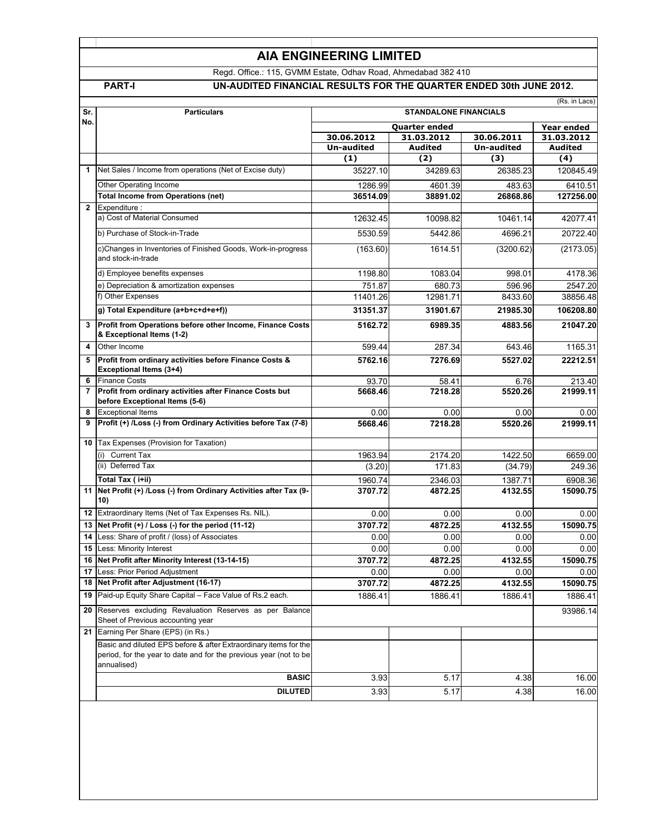# **AIA ENGINEERING LIMITED**

Regd. Office.: 115, GVMM Estate, Odhav Road, Ahmedabad 382 410

# **PART-I UN-AUDITED FINANCIAL RESULTS FOR THE QUARTER ENDED 30th JUNE 2012.**

| Sr.            | <b>Particulars</b>                                                                                                                                   | (Rs. in Lacs)<br><b>STANDALONE FINANCIALS</b> |                              |                                 |                          |
|----------------|------------------------------------------------------------------------------------------------------------------------------------------------------|-----------------------------------------------|------------------------------|---------------------------------|--------------------------|
| No.            |                                                                                                                                                      |                                               |                              |                                 |                          |
|                |                                                                                                                                                      | Quarter ended<br>30.06.2012                   |                              |                                 | Year ended<br>31.03.2012 |
|                |                                                                                                                                                      | Un-audited                                    | 31.03.2012<br><b>Audited</b> | 30.06.2011<br><b>Un-audited</b> | Audited                  |
|                |                                                                                                                                                      | (1)                                           | (2)                          | (3)                             | (4)                      |
| 1              | Net Sales / Income from operations (Net of Excise duty)                                                                                              | 35227.10                                      | 34289.63                     | 26385.23                        | 120845.49                |
|                | Other Operating Income                                                                                                                               | 1286.99                                       | 4601.39                      | 483.63                          | 6410.51                  |
|                | <b>Total Income from Operations (net)</b>                                                                                                            | 36514.09                                      | 38891.02                     | 26868.86                        | 127256.00                |
| $\mathbf{2}$   | Expenditure:                                                                                                                                         |                                               |                              |                                 |                          |
|                | a) Cost of Material Consumed                                                                                                                         | 12632.45                                      | 10098.82                     | 10461.14                        | 42077.41                 |
|                | b) Purchase of Stock-in-Trade                                                                                                                        | 5530.59                                       | 5442.86                      | 4696.21                         | 20722.40                 |
|                | c)Changes in Inventories of Finished Goods, Work-in-progress<br>and stock-in-trade                                                                   | (163.60)                                      | 1614.51                      | (3200.62)                       | (2173.05)                |
|                | d) Employee benefits expenses                                                                                                                        | 1198.80                                       | 1083.04                      | 998.01                          | 4178.36                  |
|                | e) Depreciation & amortization expenses                                                                                                              | 751.87                                        | 680.73                       | 596.96                          | 2547.20                  |
|                | f) Other Expenses                                                                                                                                    | 11401.26                                      | 12981.71                     | 8433.60                         | 38856.48                 |
|                | g) Total Expenditure (a+b+c+d+e+f))                                                                                                                  | 31351.37                                      | 31901.67                     | 21985.30                        | 106208.80                |
| 3              | Profit from Operations before other Income, Finance Costs<br>& Exceptional Items (1-2)                                                               | 5162.72                                       | 6989.35                      | 4883.56                         | 21047.20                 |
| 4              | Other Income                                                                                                                                         | 599.44                                        | 287.34                       | 643.46                          | 1165.31                  |
| 5              | Profit from ordinary activities before Finance Costs &<br>Exceptional Items (3+4)                                                                    | 5762.16                                       | 7276.69                      | 5527.02                         | 22212.51                 |
| 6              | <b>Finance Costs</b>                                                                                                                                 | 93.70                                         | 58.41                        | 6.76                            | 213.40                   |
| $\overline{7}$ | Profit from ordinary activities after Finance Costs but<br>before Exceptional Items (5-6)                                                            | 5668.46                                       | 7218.28                      | 5520.26                         | 21999.11                 |
| 8              | <b>Exceptional Items</b>                                                                                                                             | 0.00                                          | 0.00                         | 0.00                            | 0.00                     |
| 9              | Profit (+) /Loss (-) from Ordinary Activities before Tax (7-8)                                                                                       | 5668.46                                       | 7218.28                      | 5520.26                         | 21999.11                 |
| 10             | Tax Expenses (Provision for Taxation)                                                                                                                |                                               |                              |                                 |                          |
|                | <b>Current Tax</b><br>(i)                                                                                                                            | 1963.94                                       | 2174.20                      | 1422.50                         | 6659.00                  |
|                | (ii) Deferred Tax                                                                                                                                    | (3.20)                                        | 171.83                       | (34.79)                         | 249.36                   |
|                | Total Tax (i+ii)                                                                                                                                     | 1960.74                                       | 2346.03                      | 1387.71                         | 6908.36                  |
|                | 11 Net Profit (+) /Loss (-) from Ordinary Activities after Tax (9-<br>10)                                                                            | 3707.72                                       | 4872.25                      | 4132.55                         | 15090.75                 |
|                | 12 Extraordinary Items (Net of Tax Expenses Rs. NIL).                                                                                                | 0.00                                          | 0.00                         | 0.00                            | 0.00                     |
| 13             | Net Profit (+) / Loss (-) for the period (11-12)                                                                                                     | 3707.72                                       | 4872.25                      | 4132.55                         | 15090.75                 |
| 14             | Less: Share of profit / (loss) of Associates                                                                                                         | 0.00                                          | 0.00                         | 0.00                            | 0.00                     |
| 15             | Less: Minority Interest                                                                                                                              | 0.00                                          | 0.00                         | 0.00                            | 0.00                     |
| 16             | Net Profit after Minority Interest (13-14-15)                                                                                                        | 3707.72                                       | 4872.25                      | 4132.55                         | 15090.75                 |
|                | 17 Less: Prior Period Adjustment                                                                                                                     | 0.00                                          | 0.00                         | 0.00                            | 0.00                     |
|                | 18 Net Profit after Adjustment (16-17)                                                                                                               | 3707.72                                       | 4872.25                      | 4132.55                         | 15090.75                 |
|                | 19 Paid-up Equity Share Capital - Face Value of Rs.2 each.                                                                                           | 1886.41                                       | 1886.41                      | 1886.41                         | 1886.41                  |
| 20             | Reserves excluding Revaluation Reserves as per Balance<br>Sheet of Previous accounting year                                                          |                                               |                              |                                 | 93986.14                 |
| 21             | Earning Per Share (EPS) (in Rs.)                                                                                                                     |                                               |                              |                                 |                          |
|                | Basic and diluted EPS before & after Extraordinary items for the<br>period, for the year to date and for the previous year (not to be<br>annualised) |                                               |                              |                                 |                          |
|                | <b>BASIC</b>                                                                                                                                         | 3.93                                          | 5.17                         | 4.38                            | 16.00                    |
|                | <b>DILUTED</b>                                                                                                                                       | 3.93                                          | 5.17                         | 4.38                            | 16.00                    |
|                |                                                                                                                                                      |                                               |                              |                                 |                          |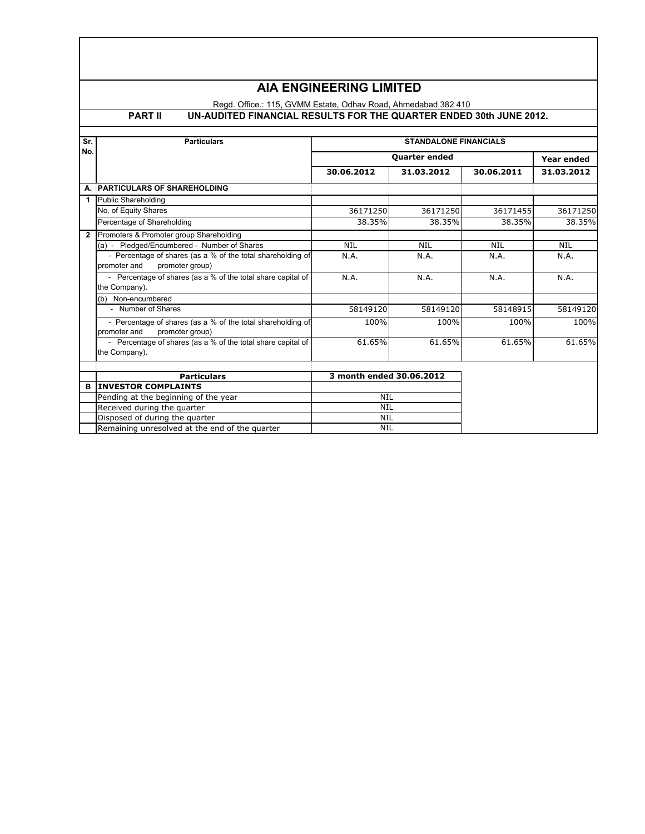# **AIA ENGINEERING LIMITED**

# Regd. Office.: 115, GVMM Estate, Odhav Road, Ahmedabad 382 410

## **PART II UN-AUDITED FINANCIAL RESULTS FOR THE QUARTER ENDED 30th JUNE 2012.**

| Sr.            | <b>Particulars</b>                                                                             | <b>STANDALONE FINANCIALS</b> |            |            |            |
|----------------|------------------------------------------------------------------------------------------------|------------------------------|------------|------------|------------|
| No.            |                                                                                                | Quarter ended                |            |            | Year ended |
|                |                                                                                                | 30.06.2012                   | 31.03.2012 | 30.06.2011 | 31.03.2012 |
| А.             | <b>PARTICULARS OF SHAREHOLDING</b>                                                             |                              |            |            |            |
| 1              | Public Shareholding                                                                            |                              |            |            |            |
|                | No. of Equity Shares                                                                           | 36171250                     | 36171250   | 36171455   | 36171250   |
|                | Percentage of Shareholding                                                                     | 38.35%                       | 38.35%     | 38.35%     | 38.35%     |
| $\overline{2}$ | Promoters & Promoter group Shareholding                                                        |                              |            |            |            |
|                | (a) - Pledged/Encumbered - Number of Shares                                                    | <b>NIL</b>                   | <b>NIL</b> | <b>NIL</b> | <b>NIL</b> |
|                | - Percentage of shares (as a % of the total shareholding of                                    | N.A.                         | N.A.       | N.A.       | N.A.       |
|                | promoter group)<br>promoter and                                                                |                              |            |            |            |
|                | - Percentage of shares (as a % of the total share capital of                                   | N.A.                         | N.A.       | N.A.       | N.A.       |
|                | the Company).                                                                                  |                              |            |            |            |
|                | (b) Non-encumbered                                                                             |                              |            |            |            |
|                | - Number of Shares                                                                             | 58149120                     | 58149120   | 58148915   | 58149120   |
|                | - Percentage of shares (as a % of the total shareholding of<br>promoter and<br>promoter group) | 100%                         | 100%       | 100%       | 100%       |
|                | - Percentage of shares (as a % of the total share capital of<br>the Company).                  | 61.65%                       | 61.65%     | 61.65%     | 61.65%     |
|                |                                                                                                |                              |            |            |            |
|                | <b>Particulars</b>                                                                             | 3 month ended 30.06.2012     |            |            |            |
| в              | <b>INVESTOR COMPLAINTS</b>                                                                     |                              |            |            |            |
|                | Pending at the beginning of the year                                                           | <b>NIL</b>                   |            |            |            |
|                | Received during the quarter                                                                    | <b>NIL</b>                   |            |            |            |
|                | Disposed of during the quarter                                                                 | NIL                          |            |            |            |
|                | Remaining unresolved at the end of the quarter                                                 | <b>NIL</b>                   |            |            |            |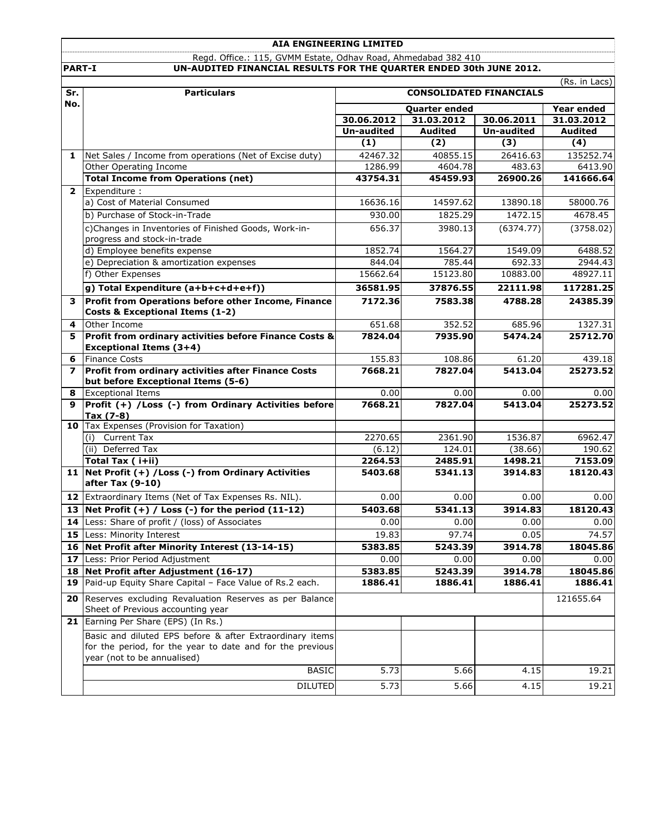## **AIA ENGINEERING LIMITED** Regd. Office.: 115, GVMM Estate, Odhav Road, Ahmedabad 382 410 **PART-I UN-AUDITED FINANCIAL RESULTS FOR THE QUARTER ENDED 30th JUNE 2012.**

|                | (Rs. in Lacs)                                                              |                                |                |                   |                |
|----------------|----------------------------------------------------------------------------|--------------------------------|----------------|-------------------|----------------|
| Sr.            | <b>Particulars</b>                                                         | <b>CONSOLIDATED FINANCIALS</b> |                |                   |                |
| No.            |                                                                            | Quarter ended                  |                |                   | Year ended     |
|                |                                                                            | 30.06.2012                     | 31.03.2012     | 30.06.2011        | 31.03.2012     |
|                |                                                                            | <b>Un-audited</b>              | <b>Audited</b> | <b>Un-audited</b> | <b>Audited</b> |
|                |                                                                            | (1)                            | (2)            | (3)               | (4)            |
| $\mathbf{1}$   | Net Sales / Income from operations (Net of Excise duty)                    | 42467.32                       | 40855.15       | 26416.63          | 135252.74      |
|                | Other Operating Income                                                     | 1286.99                        | 4604.78        | 483.63            | 6413.90        |
|                | <b>Total Income from Operations (net)</b>                                  | 43754.31                       | 45459.93       | 26900.26          | 141666.64      |
| $\overline{2}$ | Expenditure :                                                              |                                |                |                   |                |
|                | a) Cost of Material Consumed                                               | 16636.16                       | 14597.62       | 13890.18          | 58000.76       |
|                | b) Purchase of Stock-in-Trade                                              | 930.00                         | 1825.29        | 1472.15           | 4678.45        |
|                | c)Changes in Inventories of Finished Goods, Work-in-                       | 656.37                         | 3980.13        | (6374.77)         | (3758.02)      |
|                | progress and stock-in-trade                                                |                                |                |                   |                |
|                | d) Employee benefits expense                                               | 1852.74                        | 1564.27        | 1549.09           | 6488.52        |
|                | e) Depreciation & amortization expenses                                    | 844.04                         | 785.44         | 692.33            | 2944.43        |
|                | f) Other Expenses                                                          | 15662.64                       | 15123.80       | 10883.00          | 48927.11       |
|                | g) Total Expenditure (a+b+c+d+e+f))                                        | 36581.95                       | 37876.55       | 22111.98          | 117281.25      |
| 3              | Profit from Operations before other Income, Finance                        | 7172.36                        | 7583.38        | 4788.28           | 24385.39       |
|                | Costs & Exceptional Items (1-2)                                            |                                |                |                   |                |
| 4              | Other Income                                                               | 651.68                         | 352.52         | 685.96            | 1327.31        |
| 5              | Profit from ordinary activities before Finance Costs &                     | 7824.04                        | 7935.90        | 5474.24           | 25712.70       |
|                | <b>Exceptional Items (3+4)</b>                                             |                                |                |                   |                |
| 6              | <b>Finance Costs</b>                                                       | 155.83                         | 108.86         | 61.20             | 439.18         |
| $\overline{ }$ | Profit from ordinary activities after Finance Costs                        | 7668.21                        | 7827.04        | 5413.04           | 25273.52       |
|                | but before Exceptional Items (5-6)                                         |                                |                |                   |                |
| 8              | <b>Exceptional Items</b>                                                   | 0.00                           | 0.00           | 0.00              | 0.00           |
| 9              | Profit (+) /Loss (-) from Ordinary Activities before                       | 7668.21                        | 7827.04        | 5413.04           | 25273.52       |
|                | Tax (7-8)                                                                  |                                |                |                   |                |
|                | 10 Tax Expenses (Provision for Taxation)                                   |                                |                |                   |                |
|                | Current Tax<br>(i)                                                         | 2270.65                        | 2361.90        | 1536.87           | 6962.47        |
|                | (ii) Deferred Tax                                                          | (6.12)                         | 124.01         | (38.66)           | 190.62         |
|                | Total Tax ( i+ii)<br>11 Net Profit (+) / Loss (-) from Ordinary Activities | 2264.53                        | 2485.91        | 1498.21           | 7153.09        |
|                | after Tax (9-10)                                                           | 5403.68                        | 5341.13        | 3914.83           | 18120.43       |
|                | 12 Extraordinary Items (Net of Tax Expenses Rs. NIL).                      | 0.00                           | 0.00           | 0.00              | 0.00           |
| 13             | Net Profit $(+)$ / Loss $(-)$ for the period $(11-12)$                     | 5403.68                        | 5341.13        | 3914.83           | 18120.43       |
| 14             | Less: Share of profit / (loss) of Associates                               | 0.00                           | 0.00           | 0.00              | 0.00           |
|                | 15 Less: Minority Interest                                                 | 19.83                          | 97.74          | 0.05              | 74.57          |
|                | 16 Net Profit after Minority Interest (13-14-15)                           | 5383.85                        | 5243.39        | 3914.78           | 18045.86       |
| 17             | Less: Prior Period Adjustment                                              | 0.00                           | 0.00           | 0.00              | 0.00           |
|                | 18 Net Profit after Adjustment (16-17)                                     | 5383.85                        | 5243.39        | 3914.78           | 18045.86       |
| 19             | Paid-up Equity Share Capital - Face Value of Rs.2 each.                    | 1886.41                        | 1886.41        | 1886.41           | 1886.41        |
| 20             | Reserves excluding Revaluation Reserves as per Balance                     |                                |                |                   | 121655.64      |
|                | Sheet of Previous accounting year                                          |                                |                |                   |                |
|                | 21 Earning Per Share (EPS) (In Rs.)                                        |                                |                |                   |                |
|                | Basic and diluted EPS before & after Extraordinary items                   |                                |                |                   |                |
|                | for the period, for the year to date and for the previous                  |                                |                |                   |                |
|                | year (not to be annualised)                                                |                                |                |                   |                |
|                | <b>BASIC</b>                                                               | 5.73                           | 5.66           | 4.15              | 19.21          |
|                | <b>DILUTED</b>                                                             | 5.73                           | 5.66           | 4.15              | 19.21          |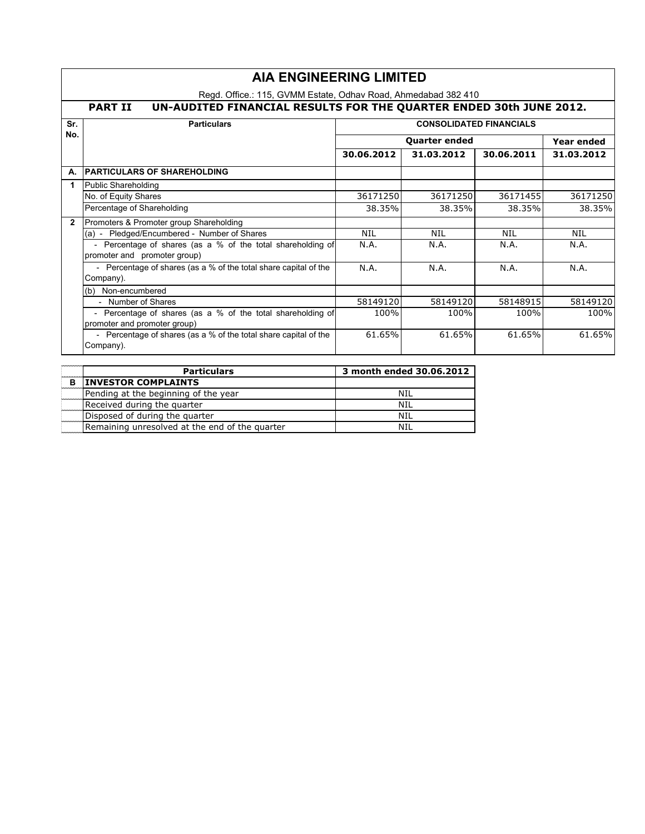|                | <b>AIA ENGINEERING LIMITED</b>                                                       |                                    |            |            |            |  |
|----------------|--------------------------------------------------------------------------------------|------------------------------------|------------|------------|------------|--|
|                | Regd. Office.: 115, GVMM Estate, Odhav Road, Ahmedabad 382 410                       |                                    |            |            |            |  |
|                | UN-AUDITED FINANCIAL RESULTS FOR THE QUARTER ENDED 30th JUNE 2012.<br><b>PART II</b> |                                    |            |            |            |  |
| Sr.            | <b>CONSOLIDATED FINANCIALS</b><br><b>Particulars</b>                                 |                                    |            |            |            |  |
| No.            |                                                                                      | <b>Quarter ended</b><br>Year ended |            |            |            |  |
|                |                                                                                      | 30.06.2012                         | 31.03.2012 | 30.06.2011 | 31.03.2012 |  |
| А.             | <b>PARTICULARS OF SHAREHOLDING</b>                                                   |                                    |            |            |            |  |
| 1              | Public Shareholding                                                                  |                                    |            |            |            |  |
|                | No. of Equity Shares                                                                 | 36171250                           | 36171250   | 36171455   | 36171250   |  |
|                | Percentage of Shareholding                                                           | 38.35%                             | 38.35%     | 38.35%     | 38.35%     |  |
| $\overline{2}$ | Promoters & Promoter group Shareholding                                              |                                    |            |            |            |  |
|                | (a) - Pledged/Encumbered - Number of Shares                                          | <b>NIL</b>                         | <b>NIL</b> | <b>NIL</b> | <b>NIL</b> |  |
|                | - Percentage of shares (as a % of the total shareholding of                          | N.A.                               | N.A.       | N.A.       | N.A.       |  |
|                | promoter and promoter group)                                                         |                                    |            |            |            |  |
|                | - Percentage of shares (as a % of the total share capital of the                     | N.A.                               | N.A.       | N.A.       | N.A.       |  |
|                | Company).                                                                            |                                    |            |            |            |  |
|                | (b) Non-encumbered                                                                   |                                    |            |            |            |  |
|                | - Number of Shares                                                                   | 58149120                           | 58149120   | 58148915   | 58149120   |  |
|                | - Percentage of shares (as a % of the total shareholding of                          | 100%                               | 100%       | 100%       | 100%       |  |
|                | promoter and promoter group)                                                         |                                    |            |            |            |  |
|                | - Percentage of shares (as a % of the total share capital of the                     | 61.65%                             | 61.65%     | 61.65%     | 61.65%     |  |
|                | Company).                                                                            |                                    |            |            |            |  |

|   | <b>Particulars</b>                             | 3 month ended 30.06.2012 |
|---|------------------------------------------------|--------------------------|
| в | <b>INVESTOR COMPLAINTS</b>                     |                          |
|   | Pending at the beginning of the year           | NIL                      |
|   | Received during the quarter                    | NIL                      |
|   | Disposed of during the quarter                 | NIL                      |
|   | Remaining unresolved at the end of the quarter | NTI                      |